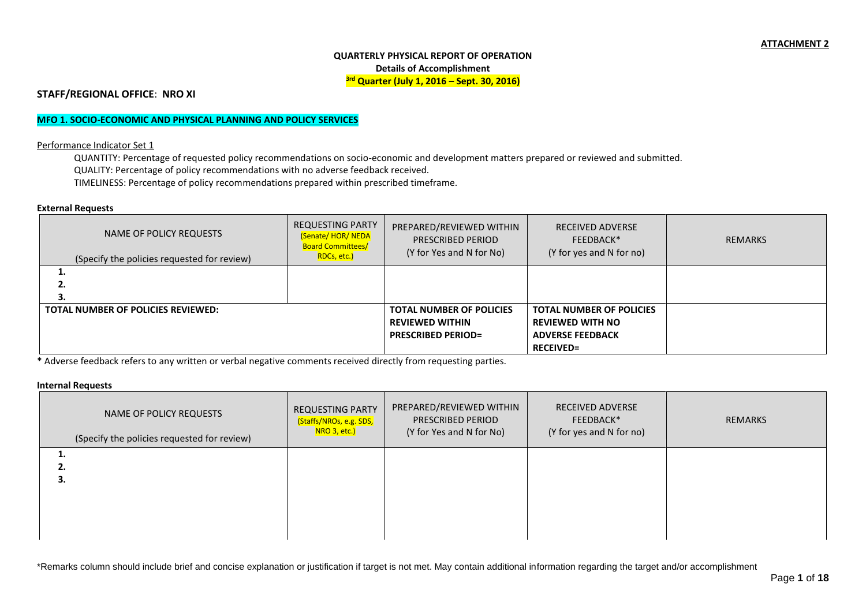### **QUARTERLY PHYSICAL REPORT OF OPERATION Details of Accomplishment 3rd Quarter (July 1, 2016 – Sept. 30, 2016)**

**STAFF/REGIONAL OFFICE**: **NRO XI**

## **MFO 1. SOCIO-ECONOMIC AND PHYSICAL PLANNING AND POLICY SERVICES**

Performance Indicator Set 1

QUANTITY: Percentage of requested policy recommendations on socio-economic and development matters prepared or reviewed and submitted. QUALITY: Percentage of policy recommendations with no adverse feedback received. TIMELINESS: Percentage of policy recommendations prepared within prescribed timeframe.

#### **External Requests**

| NAME OF POLICY REQUESTS<br>(Specify the policies requested for review) | <b>REQUESTING PARTY</b><br><b>(Senate/HOR/NEDA)</b><br><b>Board Committees/</b><br>RDCs, etc.) | PREPARED/REVIEWED WITHIN<br>PRESCRIBED PERIOD<br>(Y for Yes and N for No)              | <b>RECEIVED ADVERSE</b><br>FEEDBACK*<br>(Y for yes and N for no)                                          | REMARKS |
|------------------------------------------------------------------------|------------------------------------------------------------------------------------------------|----------------------------------------------------------------------------------------|-----------------------------------------------------------------------------------------------------------|---------|
| ⊥.<br>۷.                                                               |                                                                                                |                                                                                        |                                                                                                           |         |
| TOTAL NUMBER OF POLICIES REVIEWED:                                     |                                                                                                | <b>TOTAL NUMBER OF POLICIES</b><br><b>REVIEWED WITHIN</b><br><b>PRESCRIBED PERIOD=</b> | <b>TOTAL NUMBER OF POLICIES</b><br><b>REVIEWED WITH NO</b><br><b>ADVERSE FEEDBACK</b><br><b>RECEIVED=</b> |         |

**\*** Adverse feedback refers to any written or verbal negative comments received directly from requesting parties.

# **Internal Requests**

| NAME OF POLICY REQUESTS<br>(Specify the policies requested for review) | <b>REQUESTING PARTY</b><br>(Staffs/NROs, e.g. SDS,<br>NRO 3, etc.) | PREPARED/REVIEWED WITHIN<br><b>PRESCRIBED PERIOD</b><br>(Y for Yes and N for No) | <b>RECEIVED ADVERSE</b><br>FEEDBACK*<br>(Y for yes and N for no) | REMARKS |
|------------------------------------------------------------------------|--------------------------------------------------------------------|----------------------------------------------------------------------------------|------------------------------------------------------------------|---------|
|                                                                        |                                                                    |                                                                                  |                                                                  |         |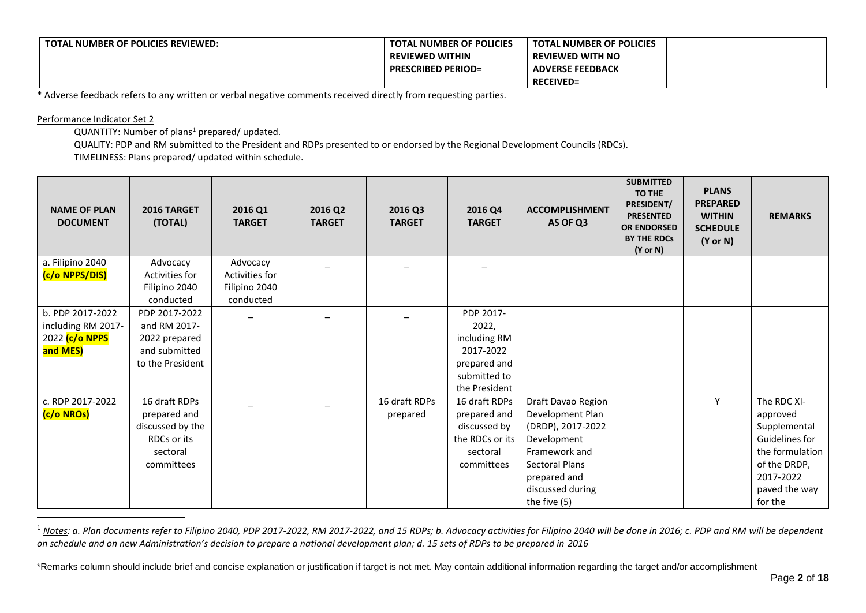| <b>TOTAL NUMBER OF POLICIES REVIEWED:</b> | <b>TOTAL NUMBER OF POLICIES</b> | <b>TOTAL NUMBER OF POLICIES</b> |  |
|-------------------------------------------|---------------------------------|---------------------------------|--|
|                                           | <b>REVIEWED WITHIN</b>          | <b>REVIEWED WITH NO</b>         |  |
|                                           | <b>PRESCRIBED PERIOD=</b>       | <b>ADVERSE FEEDBACK</b>         |  |
|                                           |                                 | <b>RECEIVED=</b>                |  |

**\*** Adverse feedback refers to any written or verbal negative comments received directly from requesting parties.

### Performance Indicator Set 2

1

QUANTITY: Number of plans<sup>1</sup> prepared/ updated.

QUALITY: PDP and RM submitted to the President and RDPs presented to or endorsed by the Regional Development Councils (RDCs).

TIMELINESS: Plans prepared/ updated within schedule.

| <b>NAME OF PLAN</b><br><b>DOCUMENT</b> | 2016 Q1<br>2016 TARGET<br>(TOTAL)<br><b>TARGET</b> | 2016 Q2<br><b>TARGET</b> | 2016 Q3<br><b>TARGET</b> | 2016 Q4<br><b>TARGET</b> | <b>ACCOMPLISHMENT</b><br>AS OF Q3 | <b>SUBMITTED</b><br><b>TO THE</b><br>PRESIDENT/<br><b>PRESENTED</b><br><b>OR ENDORSED</b><br><b>BY THE RDCs</b><br>$(Y \text{ or } N)$ | <b>PLANS</b><br><b>PREPARED</b><br><b>WITHIN</b><br><b>SCHEDULE</b><br>$(Y \text{ or } N)$ | <b>REMARKS</b>                    |
|----------------------------------------|----------------------------------------------------|--------------------------|--------------------------|--------------------------|-----------------------------------|----------------------------------------------------------------------------------------------------------------------------------------|--------------------------------------------------------------------------------------------|-----------------------------------|
| a. Filipino 2040                       | Advocacy<br>Advocacy                               |                          |                          |                          |                                   |                                                                                                                                        |                                                                                            |                                   |
| (c/o NPPS/DIS)                         | Activities for<br>Activities for                   |                          |                          |                          |                                   |                                                                                                                                        |                                                                                            |                                   |
|                                        | Filipino 2040<br>Filipino 2040                     |                          |                          |                          |                                   |                                                                                                                                        |                                                                                            |                                   |
|                                        | conducted<br>conducted                             |                          |                          |                          |                                   |                                                                                                                                        |                                                                                            |                                   |
| b. PDP 2017-2022                       | PDP 2017-2022                                      |                          |                          | PDP 2017-                |                                   |                                                                                                                                        |                                                                                            |                                   |
| including RM 2017-                     | and RM 2017-                                       |                          |                          | 2022,                    |                                   |                                                                                                                                        |                                                                                            |                                   |
| 2022 (c/o NPPS                         | 2022 prepared                                      |                          |                          | including RM             |                                   |                                                                                                                                        |                                                                                            |                                   |
| and MES)                               | and submitted                                      |                          |                          | 2017-2022                |                                   |                                                                                                                                        |                                                                                            |                                   |
|                                        | to the President                                   |                          |                          | prepared and             |                                   |                                                                                                                                        |                                                                                            |                                   |
|                                        |                                                    |                          |                          | submitted to             |                                   |                                                                                                                                        |                                                                                            |                                   |
|                                        |                                                    |                          |                          | the President            |                                   |                                                                                                                                        |                                                                                            |                                   |
| c. RDP 2017-2022                       | 16 draft RDPs                                      |                          | 16 draft RDPs            | 16 draft RDPs            | Draft Davao Region                |                                                                                                                                        | Υ                                                                                          | The RDC XI-                       |
| (c/o NROs)                             | prepared and                                       |                          | prepared                 | prepared and             | Development Plan                  |                                                                                                                                        |                                                                                            | approved                          |
|                                        | discussed by the                                   |                          |                          | discussed by             | (DRDP), 2017-2022                 |                                                                                                                                        |                                                                                            | Supplemental                      |
|                                        | RDCs or its                                        |                          |                          | the RDCs or its          | Development<br>Framework and      |                                                                                                                                        |                                                                                            | Guidelines for<br>the formulation |
|                                        | sectoral<br>committees                             |                          |                          | sectoral<br>committees   | <b>Sectoral Plans</b>             |                                                                                                                                        |                                                                                            | of the DRDP,                      |
|                                        |                                                    |                          |                          |                          | prepared and                      |                                                                                                                                        |                                                                                            | 2017-2022                         |
|                                        |                                                    |                          |                          |                          | discussed during                  |                                                                                                                                        |                                                                                            | paved the way                     |
|                                        |                                                    |                          |                          |                          |                                   |                                                                                                                                        |                                                                                            |                                   |

<sup>1</sup> Notes: a. Plan documents refer to Filipino 2040, PDP 2017-2022, RM 2017-2022, and 15 RDPs; b. Advocacy activities for Filipino 2040 will be done in 2016; c. PDP and RM will be dependent *on schedule and on new Administration's decision to prepare a national development plan; d. 15 sets of RDPs to be prepared in 2016*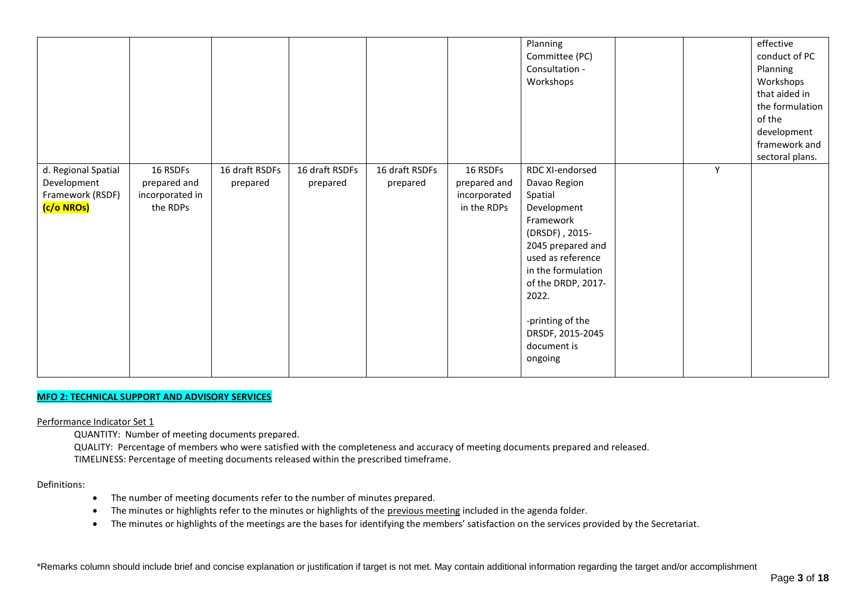|                                                                      |                                                         |                            |                            |                            |                                                         | Planning<br>Committee (PC)<br>Consultation -<br>Workshops                                                                                                                                                                                                 |   | effective<br>conduct of PC<br>Planning<br>Workshops<br>that aided in<br>the formulation<br>of the<br>development<br>framework and<br>sectoral plans. |
|----------------------------------------------------------------------|---------------------------------------------------------|----------------------------|----------------------------|----------------------------|---------------------------------------------------------|-----------------------------------------------------------------------------------------------------------------------------------------------------------------------------------------------------------------------------------------------------------|---|------------------------------------------------------------------------------------------------------------------------------------------------------|
| d. Regional Spatial<br>Development<br>Framework (RSDF)<br>(c/o NROs) | 16 RSDFs<br>prepared and<br>incorporated in<br>the RDPs | 16 draft RSDFs<br>prepared | 16 draft RSDFs<br>prepared | 16 draft RSDFs<br>prepared | 16 RSDFs<br>prepared and<br>incorporated<br>in the RDPs | RDC XI-endorsed<br>Davao Region<br>Spatial<br>Development<br>Framework<br>(DRSDF), 2015-<br>2045 prepared and<br>used as reference<br>in the formulation<br>of the DRDP, 2017-<br>2022.<br>-printing of the<br>DRSDF, 2015-2045<br>document is<br>ongoing | Υ |                                                                                                                                                      |

#### **MFO 2: TECHNICAL SUPPORT AND ADVISORY SERVICES**

Performance Indicator Set 1

QUANTITY: Number of meeting documents prepared.

QUALITY: Percentage of members who were satisfied with the completeness and accuracy of meeting documents prepared and released. TIMELINESS: Percentage of meeting documents released within the prescribed timeframe.

Definitions:

- The number of meeting documents refer to the number of minutes prepared.
- The minutes or highlights refer to the minutes or highlights of the previous meeting included in the agenda folder.
- The minutes or highlights of the meetings are the bases for identifying the members' satisfaction on the services provided by the Secretariat.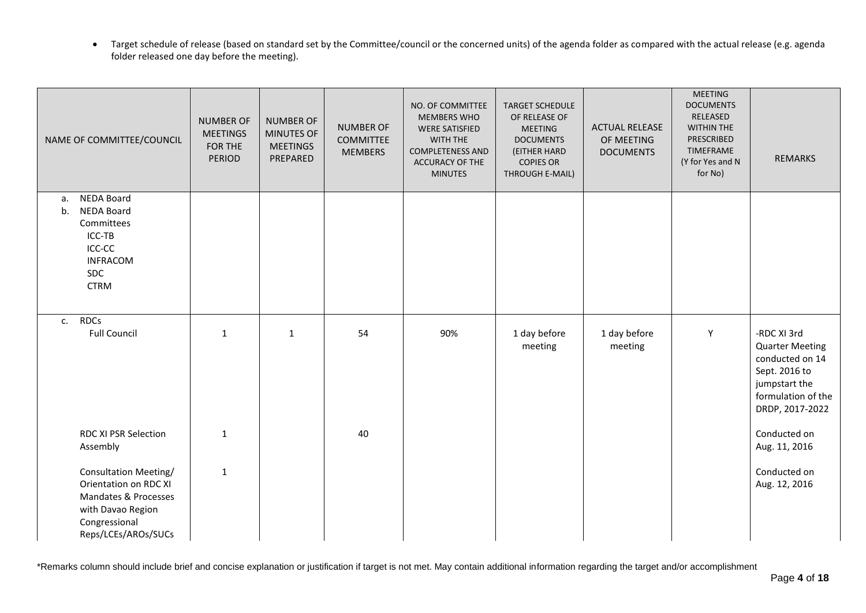• Target schedule of release (based on standard set by the Committee/council or the concerned units) of the agenda folder as compared with the actual release (e.g. agenda folder released one day before the meeting).

| NAME OF COMMITTEE/COUNCIL                                                                                                                                                      | <b>NUMBER OF</b><br><b>MEETINGS</b><br>FOR THE<br>PERIOD | <b>NUMBER OF</b><br><b>MINUTES OF</b><br><b>MEETINGS</b><br>PREPARED | <b>NUMBER OF</b><br><b>COMMITTEE</b><br><b>MEMBERS</b> | NO. OF COMMITTEE<br><b>MEMBERS WHO</b><br><b>WERE SATISFIED</b><br>WITH THE<br><b>COMPLETENESS AND</b><br>ACCURACY OF THE<br><b>MINUTES</b> | <b>TARGET SCHEDULE</b><br>OF RELEASE OF<br><b>MEETING</b><br><b>DOCUMENTS</b><br>(EITHER HARD<br><b>COPIES OR</b><br>THROUGH E-MAIL) | <b>ACTUAL RELEASE</b><br>OF MEETING<br><b>DOCUMENTS</b> | <b>MEETING</b><br><b>DOCUMENTS</b><br>RELEASED<br><b>WITHIN THE</b><br>PRESCRIBED<br>TIMEFRAME<br>(Y for Yes and N<br>for No) | <b>REMARKS</b>                                                                                                                      |
|--------------------------------------------------------------------------------------------------------------------------------------------------------------------------------|----------------------------------------------------------|----------------------------------------------------------------------|--------------------------------------------------------|---------------------------------------------------------------------------------------------------------------------------------------------|--------------------------------------------------------------------------------------------------------------------------------------|---------------------------------------------------------|-------------------------------------------------------------------------------------------------------------------------------|-------------------------------------------------------------------------------------------------------------------------------------|
| <b>NEDA Board</b><br>а.<br><b>NEDA Board</b><br>b.<br>Committees<br>ICC-TB<br>ICC-CC<br><b>INFRACOM</b><br>SDC<br><b>CTRM</b>                                                  |                                                          |                                                                      |                                                        |                                                                                                                                             |                                                                                                                                      |                                                         |                                                                                                                               |                                                                                                                                     |
| <b>RDCs</b><br>$C_{1}$<br><b>Full Council</b>                                                                                                                                  | $\mathbf{1}$                                             | $\mathbf{1}$                                                         | 54                                                     | 90%                                                                                                                                         | 1 day before<br>meeting                                                                                                              | 1 day before<br>meeting                                 | Y                                                                                                                             | -RDC XI 3rd<br><b>Quarter Meeting</b><br>conducted on 14<br>Sept. 2016 to<br>jumpstart the<br>formulation of the<br>DRDP, 2017-2022 |
| <b>RDC XI PSR Selection</b><br>Assembly<br>Consultation Meeting/<br>Orientation on RDC XI<br>Mandates & Processes<br>with Davao Region<br>Congressional<br>Reps/LCEs/AROs/SUCs | $\mathbf{1}$<br>$\mathbf 1$                              |                                                                      | 40                                                     |                                                                                                                                             |                                                                                                                                      |                                                         |                                                                                                                               | Conducted on<br>Aug. 11, 2016<br>Conducted on<br>Aug. 12, 2016                                                                      |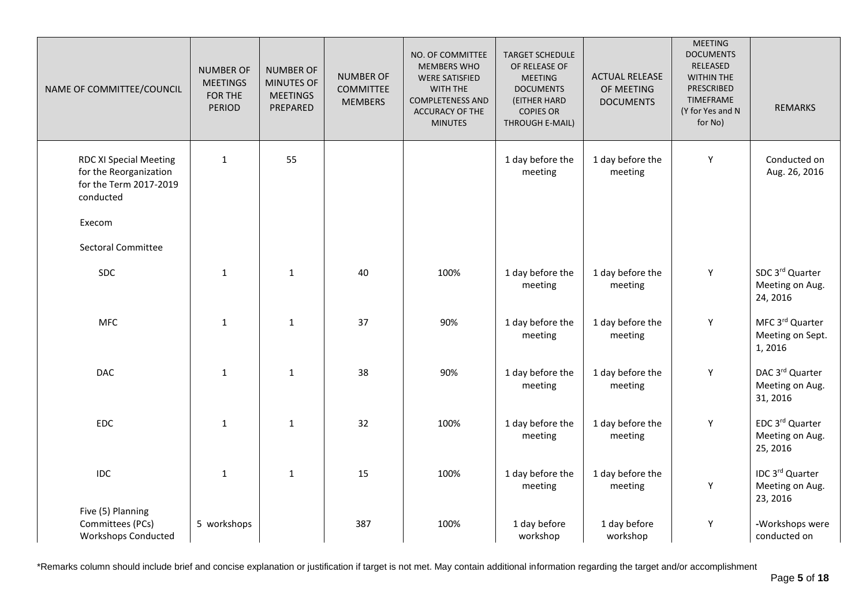| NAME OF COMMITTEE/COUNCIL                                                                      | <b>NUMBER OF</b><br><b>MEETINGS</b><br>FOR THE<br><b>PERIOD</b> | <b>NUMBER OF</b><br>MINUTES OF<br><b>MEETINGS</b><br>PREPARED | <b>NUMBER OF</b><br><b>COMMITTEE</b><br><b>MEMBERS</b> | NO. OF COMMITTEE<br><b>MEMBERS WHO</b><br><b>WERE SATISFIED</b><br>WITH THE<br><b>COMPLETENESS AND</b><br>ACCURACY OF THE<br><b>MINUTES</b> | <b>TARGET SCHEDULE</b><br>OF RELEASE OF<br><b>MEETING</b><br><b>DOCUMENTS</b><br>(EITHER HARD<br><b>COPIES OR</b><br>THROUGH E-MAIL) | <b>ACTUAL RELEASE</b><br>OF MEETING<br><b>DOCUMENTS</b> | <b>MEETING</b><br><b>DOCUMENTS</b><br>RELEASED<br><b>WITHIN THE</b><br>PRESCRIBED<br>TIMEFRAME<br>(Y for Yes and N<br>for No) | <b>REMARKS</b>                                 |
|------------------------------------------------------------------------------------------------|-----------------------------------------------------------------|---------------------------------------------------------------|--------------------------------------------------------|---------------------------------------------------------------------------------------------------------------------------------------------|--------------------------------------------------------------------------------------------------------------------------------------|---------------------------------------------------------|-------------------------------------------------------------------------------------------------------------------------------|------------------------------------------------|
| <b>RDC XI Special Meeting</b><br>for the Reorganization<br>for the Term 2017-2019<br>conducted | $\mathbf{1}$                                                    | 55                                                            |                                                        |                                                                                                                                             | 1 day before the<br>meeting                                                                                                          | 1 day before the<br>meeting                             | Y                                                                                                                             | Conducted on<br>Aug. 26, 2016                  |
| Execom<br><b>Sectoral Committee</b>                                                            |                                                                 |                                                               |                                                        |                                                                                                                                             |                                                                                                                                      |                                                         |                                                                                                                               |                                                |
|                                                                                                |                                                                 |                                                               |                                                        |                                                                                                                                             |                                                                                                                                      |                                                         |                                                                                                                               |                                                |
| SDC                                                                                            | $\mathbf 1$                                                     | $\mathbf{1}$                                                  | 40                                                     | 100%                                                                                                                                        | 1 day before the<br>meeting                                                                                                          | 1 day before the<br>meeting                             | Υ                                                                                                                             | SDC 3rd Quarter<br>Meeting on Aug.<br>24, 2016 |
| <b>MFC</b>                                                                                     | $\mathbf{1}$                                                    | $\mathbf{1}$                                                  | 37                                                     | 90%                                                                                                                                         | 1 day before the<br>meeting                                                                                                          | 1 day before the<br>meeting                             | Υ                                                                                                                             | MFC 3rd Quarter<br>Meeting on Sept.<br>1,2016  |
| <b>DAC</b>                                                                                     | $\mathbf{1}$                                                    | $\mathbf{1}$                                                  | 38                                                     | 90%                                                                                                                                         | 1 day before the<br>meeting                                                                                                          | 1 day before the<br>meeting                             | Y                                                                                                                             | DAC 3rd Quarter<br>Meeting on Aug.<br>31, 2016 |
| EDC                                                                                            | $\mathbf{1}$                                                    | $\mathbf{1}$                                                  | 32                                                     | 100%                                                                                                                                        | 1 day before the<br>meeting                                                                                                          | 1 day before the<br>meeting                             | Υ                                                                                                                             | EDC 3rd Quarter<br>Meeting on Aug.<br>25, 2016 |
| <b>IDC</b>                                                                                     | $\mathbf 1$                                                     | $\mathbf{1}$                                                  | 15                                                     | 100%                                                                                                                                        | 1 day before the<br>meeting                                                                                                          | 1 day before the<br>meeting                             | Y                                                                                                                             | IDC 3rd Quarter<br>Meeting on Aug.<br>23, 2016 |
| Five (5) Planning<br>Committees (PCs)<br><b>Workshops Conducted</b>                            | 5 workshops                                                     |                                                               | 387                                                    | 100%                                                                                                                                        | 1 day before<br>workshop                                                                                                             | 1 day before<br>workshop                                | Υ                                                                                                                             | -Workshops were<br>conducted on                |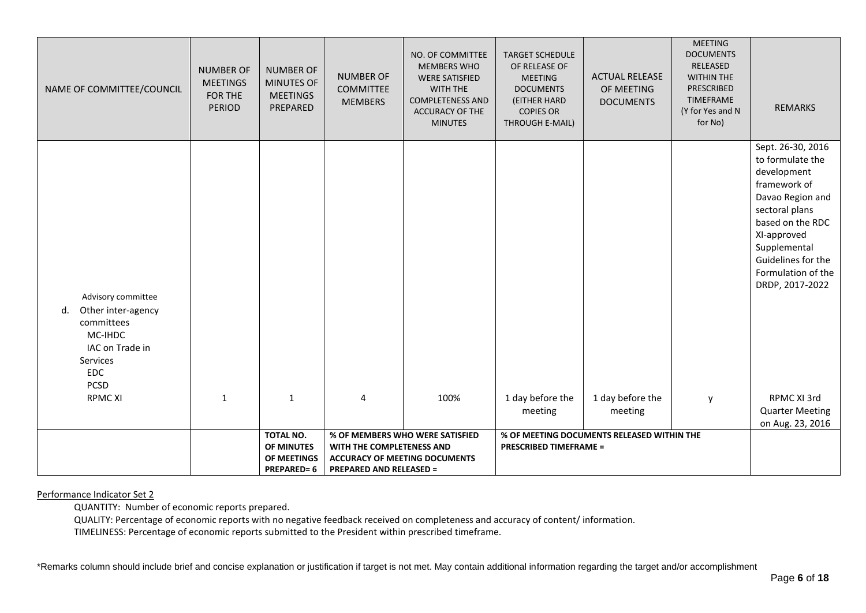| NAME OF COMMITTEE/COUNCIL                                                                                                                             | <b>NUMBER OF</b><br><b>MEETINGS</b><br>FOR THE<br><b>PERIOD</b> | <b>NUMBER OF</b><br>MINUTES OF<br><b>MEETINGS</b><br>PREPARED | <b>NUMBER OF</b><br><b>COMMITTEE</b><br><b>MEMBERS</b>            | NO. OF COMMITTEE<br><b>MEMBERS WHO</b><br><b>WERE SATISFIED</b><br><b>WITH THE</b><br><b>COMPLETENESS AND</b><br><b>ACCURACY OF THE</b><br><b>MINUTES</b> | <b>TARGET SCHEDULE</b><br>OF RELEASE OF<br><b>MEETING</b><br><b>DOCUMENTS</b><br>(EITHER HARD<br><b>COPIES OR</b><br>THROUGH E-MAIL) | <b>ACTUAL RELEASE</b><br>OF MEETING<br><b>DOCUMENTS</b> | <b>MEETING</b><br><b>DOCUMENTS</b><br>RELEASED<br><b>WITHIN THE</b><br><b>PRESCRIBED</b><br>TIMEFRAME<br>(Y for Yes and N<br>for No) | <b>REMARKS</b>                                                                                                                                                                                                                              |
|-------------------------------------------------------------------------------------------------------------------------------------------------------|-----------------------------------------------------------------|---------------------------------------------------------------|-------------------------------------------------------------------|-----------------------------------------------------------------------------------------------------------------------------------------------------------|--------------------------------------------------------------------------------------------------------------------------------------|---------------------------------------------------------|--------------------------------------------------------------------------------------------------------------------------------------|---------------------------------------------------------------------------------------------------------------------------------------------------------------------------------------------------------------------------------------------|
| Advisory committee<br>Other inter-agency<br>d.<br>committees<br>MC-IHDC<br>IAC on Trade in<br>Services<br><b>EDC</b><br><b>PCSD</b><br><b>RPMC XI</b> | $\mathbf{1}$                                                    | $\mathbf{1}$                                                  | 4                                                                 | 100%                                                                                                                                                      | 1 day before the                                                                                                                     | 1 day before the                                        | y                                                                                                                                    | Sept. 26-30, 2016<br>to formulate the<br>development<br>framework of<br>Davao Region and<br>sectoral plans<br>based on the RDC<br>XI-approved<br>Supplemental<br>Guidelines for the<br>Formulation of the<br>DRDP, 2017-2022<br>RPMC XI 3rd |
|                                                                                                                                                       |                                                                 |                                                               |                                                                   |                                                                                                                                                           | meeting                                                                                                                              | meeting                                                 |                                                                                                                                      | <b>Quarter Meeting</b><br>on Aug. 23, 2016                                                                                                                                                                                                  |
|                                                                                                                                                       |                                                                 | TOTAL NO.                                                     |                                                                   | % OF MEMBERS WHO WERE SATISFIED                                                                                                                           |                                                                                                                                      | % OF MEETING DOCUMENTS RELEASED WITHIN THE              |                                                                                                                                      |                                                                                                                                                                                                                                             |
|                                                                                                                                                       |                                                                 | OF MINUTES<br>OF MEETINGS                                     | WITH THE COMPLETENESS AND<br><b>ACCURACY OF MEETING DOCUMENTS</b> |                                                                                                                                                           | <b>PRESCRIBED TIMEFRAME =</b>                                                                                                        |                                                         |                                                                                                                                      |                                                                                                                                                                                                                                             |
|                                                                                                                                                       |                                                                 | <b>PREPARED=6</b>                                             | <b>PREPARED AND RELEASED =</b>                                    |                                                                                                                                                           |                                                                                                                                      |                                                         |                                                                                                                                      |                                                                                                                                                                                                                                             |

QUANTITY: Number of economic reports prepared.

QUALITY: Percentage of economic reports with no negative feedback received on completeness and accuracy of content/ information.

TIMELINESS: Percentage of economic reports submitted to the President within prescribed timeframe.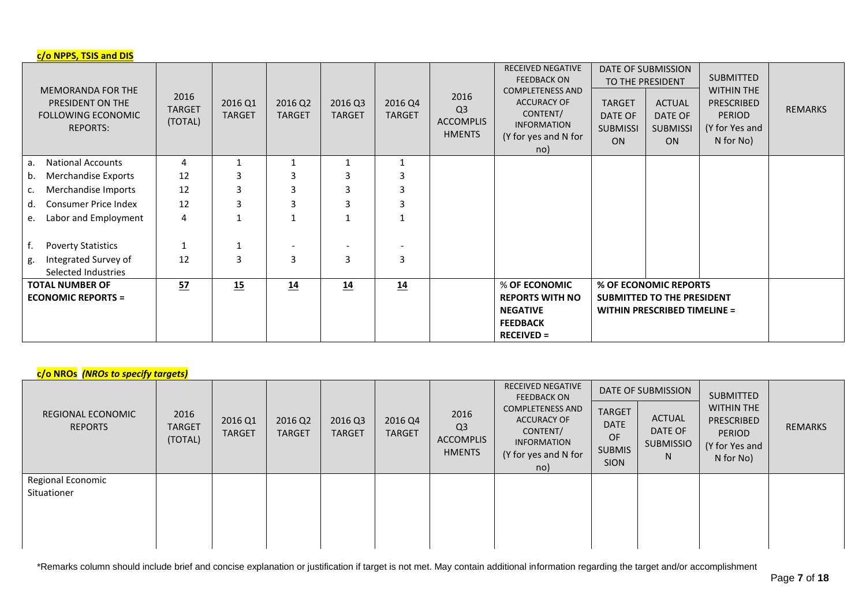| c/o NPPS, TSIS and DIS                                                                       |                                  |                          |                          |                          |                          |                                                             |                                                                                                                                                                  |                                                          |                                                                                                   |                                                                                                     |                |
|----------------------------------------------------------------------------------------------|----------------------------------|--------------------------|--------------------------|--------------------------|--------------------------|-------------------------------------------------------------|------------------------------------------------------------------------------------------------------------------------------------------------------------------|----------------------------------------------------------|---------------------------------------------------------------------------------------------------|-----------------------------------------------------------------------------------------------------|----------------|
| <b>MEMORANDA FOR THE</b><br>PRESIDENT ON THE<br><b>FOLLOWING ECONOMIC</b><br><b>REPORTS:</b> | 2016<br><b>TARGET</b><br>(TOTAL) | 2016 Q1<br><b>TARGET</b> | 2016 Q2<br><b>TARGET</b> | 2016 Q3<br><b>TARGET</b> | 2016 Q4<br><b>TARGET</b> | 2016<br>Q <sub>3</sub><br><b>ACCOMPLIS</b><br><b>HMENTS</b> | <b>RECEIVED NEGATIVE</b><br><b>FEEDBACK ON</b><br><b>COMPLETENESS AND</b><br><b>ACCURACY OF</b><br>CONTENT/<br><b>INFORMATION</b><br>(Y for yes and N for<br>no) | <b>TARGET</b><br>DATE OF<br><b>SUBMISSI</b><br><b>ON</b> | DATE OF SUBMISSION<br>TO THE PRESIDENT<br><b>ACTUAL</b><br>DATE OF<br><b>SUBMISSI</b><br>ON       | <b>SUBMITTED</b><br><b>WITHIN THE</b><br>PRESCRIBED<br><b>PERIOD</b><br>(Y for Yes and<br>N for No) | <b>REMARKS</b> |
| <b>National Accounts</b><br>а.                                                               | 4                                |                          |                          |                          | $\mathbf{1}$             |                                                             |                                                                                                                                                                  |                                                          |                                                                                                   |                                                                                                     |                |
| Merchandise Exports<br>b.                                                                    | 12                               | 3                        | 3                        | 3                        | 3                        |                                                             |                                                                                                                                                                  |                                                          |                                                                                                   |                                                                                                     |                |
| Merchandise Imports<br>c.                                                                    | 12                               | 3                        | 3                        | 3                        | 3                        |                                                             |                                                                                                                                                                  |                                                          |                                                                                                   |                                                                                                     |                |
| <b>Consumer Price Index</b><br>d.                                                            | 12                               | 3                        | 3                        | 3                        | 3                        |                                                             |                                                                                                                                                                  |                                                          |                                                                                                   |                                                                                                     |                |
| Labor and Employment<br>е.                                                                   | 4                                | $\mathbf 1$              |                          | $\mathbf 1$              | 1                        |                                                             |                                                                                                                                                                  |                                                          |                                                                                                   |                                                                                                     |                |
| <b>Poverty Statistics</b>                                                                    | $\mathbf{1}$                     | 1                        |                          |                          |                          |                                                             |                                                                                                                                                                  |                                                          |                                                                                                   |                                                                                                     |                |
| Integrated Survey of<br>g.<br>Selected Industries                                            | 12                               | 3                        | 3                        | 3                        | 3                        |                                                             |                                                                                                                                                                  |                                                          |                                                                                                   |                                                                                                     |                |
| <b>TOTAL NUMBER OF</b><br><b>ECONOMIC REPORTS =</b>                                          | 57                               | 15                       | 14                       | 14                       | 14                       |                                                             | % OF ECONOMIC<br><b>REPORTS WITH NO</b><br><b>NEGATIVE</b><br><b>FEEDBACK</b><br>$RECEIVED =$                                                                    |                                                          | % OF ECONOMIC REPORTS<br><b>SUBMITTED TO THE PRESIDENT</b><br><b>WITHIN PRESCRIBED TIMELINE =</b> |                                                                                                     |                |

# **c/o NROs** *(NROs to specify targets)*

| REGIONAL ECONOMIC<br><b>REPORTS</b> | 2016<br><b>TARGET</b><br>(TOTAL) | 2016 Q1<br><b>TARGET</b> | 2016 Q2<br><b>TARGET</b> | 2016 Q3<br><b>TARGET</b> | 2016 Q4<br><b>TARGET</b> | 2016<br>Q <sub>3</sub><br>ACCOMPLIS<br><b>HMENTS</b> | <b>RECEIVED NEGATIVE</b><br><b>FEEDBACK ON</b><br><b>COMPLETENESS AND</b><br><b>ACCURACY OF</b><br>CONTENT/<br><b>INFORMATION</b><br>(Y for yes and N for<br>no) | <b>TARGET</b><br><b>DATE</b><br>OF<br><b>SUBMIS</b><br><b>SION</b> | DATE OF SUBMISSION<br><b>ACTUAL</b><br>DATE OF<br><b>SUBMISSIO</b><br>N. | <b>SUBMITTED</b><br><b>WITHIN THE</b><br>PRESCRIBED<br><b>PERIOD</b><br>(Y for Yes and<br>N for No) | REMARKS |
|-------------------------------------|----------------------------------|--------------------------|--------------------------|--------------------------|--------------------------|------------------------------------------------------|------------------------------------------------------------------------------------------------------------------------------------------------------------------|--------------------------------------------------------------------|--------------------------------------------------------------------------|-----------------------------------------------------------------------------------------------------|---------|
| Regional Economic<br>Situationer    |                                  |                          |                          |                          |                          |                                                      |                                                                                                                                                                  |                                                                    |                                                                          |                                                                                                     |         |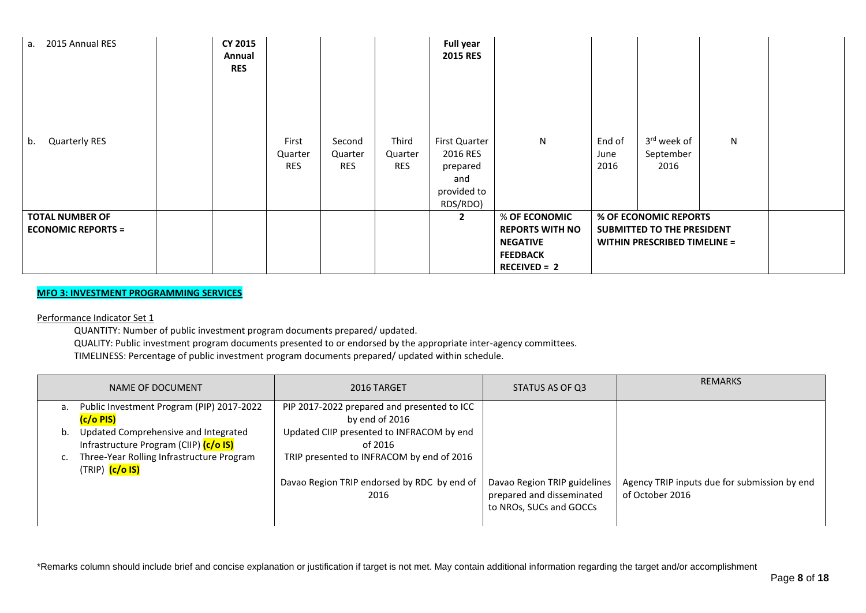| 2015 Annual RES<br>а.                               | <b>CY 2015</b><br>Annual<br><b>RES</b> |                                |                                 |                                | <b>Full year</b><br><b>2015 RES</b>                                     |                                                                                                 |                        |                                                                                            |   |  |
|-----------------------------------------------------|----------------------------------------|--------------------------------|---------------------------------|--------------------------------|-------------------------------------------------------------------------|-------------------------------------------------------------------------------------------------|------------------------|--------------------------------------------------------------------------------------------|---|--|
| <b>Quarterly RES</b><br>b.                          |                                        | First<br>Quarter<br><b>RES</b> | Second<br>Quarter<br><b>RES</b> | Third<br>Quarter<br><b>RES</b> | First Quarter<br>2016 RES<br>prepared<br>and<br>provided to<br>RDS/RDO) | $\mathsf{N}$                                                                                    | End of<br>June<br>2016 | 3rd week of<br>September<br>2016                                                           | N |  |
| <b>TOTAL NUMBER OF</b><br><b>ECONOMIC REPORTS =</b> |                                        |                                |                                 |                                | $\mathbf{2}$                                                            | % OF ECONOMIC<br><b>REPORTS WITH NO</b><br><b>NEGATIVE</b><br><b>FEEDBACK</b><br>$RECEIVED = 2$ |                        | % OF ECONOMIC REPORTS<br>SUBMITTED TO THE PRESIDENT<br><b>WITHIN PRESCRIBED TIMELINE =</b> |   |  |

# **MFO 3: INVESTMENT PROGRAMMING SERVICES**

Performance Indicator Set 1

QUANTITY: Number of public investment program documents prepared/ updated.

QUALITY: Public investment program documents presented to or endorsed by the appropriate inter-agency committees. TIMELINESS: Percentage of public investment program documents prepared/ updated within schedule.

|    | NAME OF DOCUMENT                                                               | 2016 TARGET                                                   | STATUS AS OF Q3                                                                      | <b>REMARKS</b>                                                  |
|----|--------------------------------------------------------------------------------|---------------------------------------------------------------|--------------------------------------------------------------------------------------|-----------------------------------------------------------------|
| a. | Public Investment Program (PIP) 2017-2022<br>(c/o PIS)                         | PIP 2017-2022 prepared and presented to ICC<br>by end of 2016 |                                                                                      |                                                                 |
| b. | Updated Comprehensive and Integrated<br>Infrastructure Program (CIIP) (c/o IS) | Updated CIIP presented to INFRACOM by end<br>of 2016          |                                                                                      |                                                                 |
|    | Three-Year Rolling Infrastructure Program<br>(TRIP) <mark>(c/o IS)</mark>      | TRIP presented to INFRACOM by end of 2016                     |                                                                                      |                                                                 |
|    |                                                                                | Davao Region TRIP endorsed by RDC by end of<br>2016           | Davao Region TRIP guidelines<br>prepared and disseminated<br>to NROs, SUCs and GOCCs | Agency TRIP inputs due for submission by end<br>of October 2016 |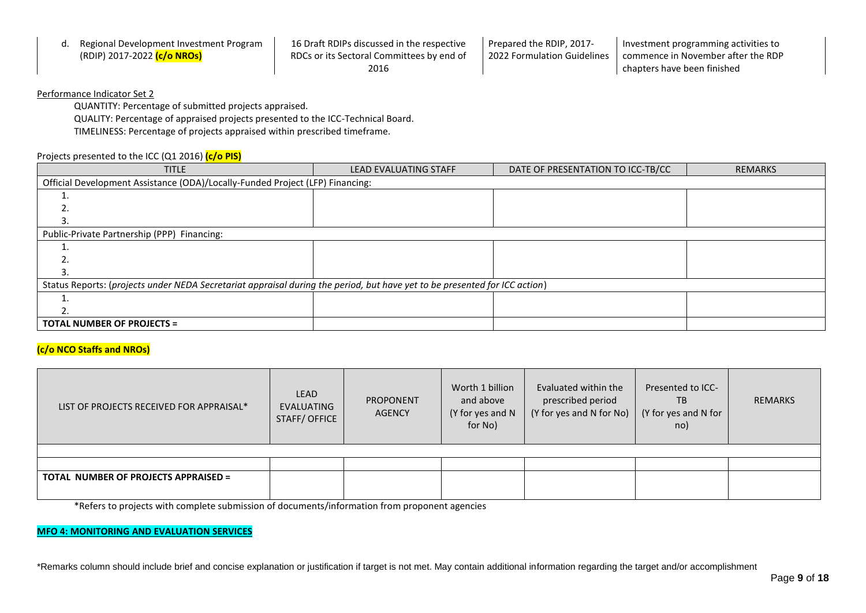| Regional Development Investment Program  | 16 Draft RDIPs discussed in the respective | Prepared the RDIP. 2017-    | I Investment programming activities to |
|------------------------------------------|--------------------------------------------|-----------------------------|----------------------------------------|
| (RDIP) 2017-2022 <mark>(c/o NROs)</mark> | RDCs or its Sectoral Committees by end of  | 2022 Formulation Guidelines | I commence in November after the RDP   |
|                                          | 2016                                       |                             | chapters have been finished            |

QUANTITY: Percentage of submitted projects appraised.

QUALITY: Percentage of appraised projects presented to the ICC-Technical Board.

TIMELINESS: Percentage of projects appraised within prescribed timeframe.

### Projects presented to the ICC (Q1 2016) **(c/o PIS)**

| <b>TITLE</b>                                                                                                               | <b>LEAD EVALUATING STAFF</b> | DATE OF PRESENTATION TO ICC-TB/CC | <b>REMARKS</b> |  |  |  |  |  |
|----------------------------------------------------------------------------------------------------------------------------|------------------------------|-----------------------------------|----------------|--|--|--|--|--|
| Official Development Assistance (ODA)/Locally-Funded Project (LFP) Financing:                                              |                              |                                   |                |  |  |  |  |  |
|                                                                                                                            |                              |                                   |                |  |  |  |  |  |
|                                                                                                                            |                              |                                   |                |  |  |  |  |  |
|                                                                                                                            |                              |                                   |                |  |  |  |  |  |
| Public-Private Partnership (PPP) Financing:                                                                                |                              |                                   |                |  |  |  |  |  |
|                                                                                                                            |                              |                                   |                |  |  |  |  |  |
|                                                                                                                            |                              |                                   |                |  |  |  |  |  |
| 3                                                                                                                          |                              |                                   |                |  |  |  |  |  |
| Status Reports: (projects under NEDA Secretariat appraisal during the period, but have yet to be presented for ICC action) |                              |                                   |                |  |  |  |  |  |
|                                                                                                                            |                              |                                   |                |  |  |  |  |  |
|                                                                                                                            |                              |                                   |                |  |  |  |  |  |
| <b>TOTAL NUMBER OF PROJECTS =</b>                                                                                          |                              |                                   |                |  |  |  |  |  |

### **(c/o NCO Staffs and NROs)**

| LIST OF PROJECTS RECEIVED FOR APPRAISAL*    | LEAD<br>EVALUATING<br><b>STAFF/OFFICE</b> | <b>PROPONENT</b><br><b>AGENCY</b> |  | Worth 1 billion<br>Evaluated within the<br>prescribed period<br>and above<br>(Y for yes and N for No)<br>$(Y$ for yes and N for<br>(Y for yes and N<br>for No) |  | <b>REMARKS</b> |
|---------------------------------------------|-------------------------------------------|-----------------------------------|--|----------------------------------------------------------------------------------------------------------------------------------------------------------------|--|----------------|
|                                             |                                           |                                   |  |                                                                                                                                                                |  |                |
|                                             |                                           |                                   |  |                                                                                                                                                                |  |                |
| <b>TOTAL NUMBER OF PROJECTS APPRAISED =</b> |                                           |                                   |  |                                                                                                                                                                |  |                |

\*Refers to projects with complete submission of documents/information from proponent agencies

#### **MFO 4: MONITORING AND EVALUATION SERVICES**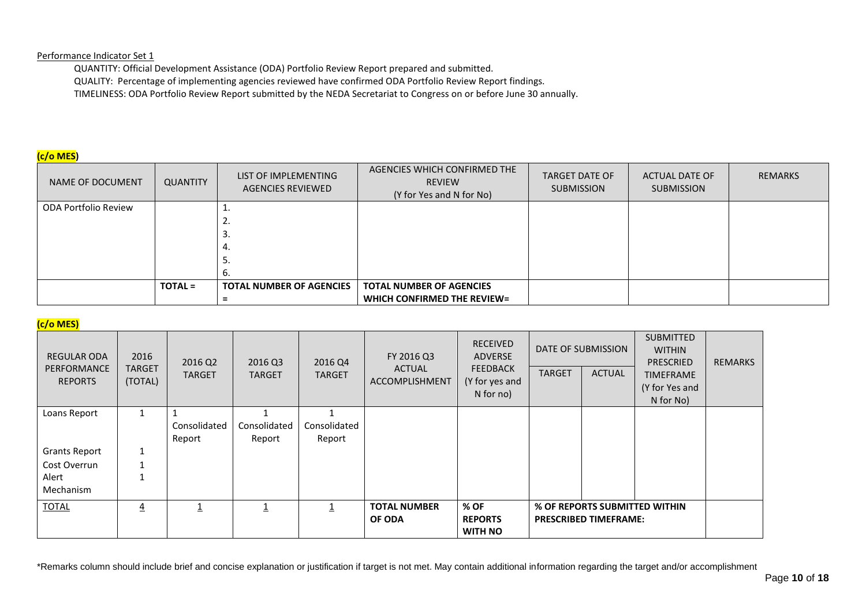QUANTITY: Official Development Assistance (ODA) Portfolio Review Report prepared and submitted. QUALITY: Percentage of implementing agencies reviewed have confirmed ODA Portfolio Review Report findings. TIMELINESS: ODA Portfolio Review Report submitted by the NEDA Secretariat to Congress on or before June 30 annually.

# **(c/o MES)**

| NAME OF DOCUMENT     | <b>QUANTITY</b> | LIST OF IMPLEMENTING<br><b>AGENCIES REVIEWED</b> | AGENCIES WHICH CONFIRMED THE<br><b>REVIEW</b><br>(Y for Yes and N for No) | <b>TARGET DATE OF</b><br><b>SUBMISSION</b> | ACTUAL DATE OF<br><b>SUBMISSION</b> | <b>REMARKS</b> |
|----------------------|-----------------|--------------------------------------------------|---------------------------------------------------------------------------|--------------------------------------------|-------------------------------------|----------------|
| ODA Portfolio Review |                 |                                                  |                                                                           |                                            |                                     |                |
|                      |                 | <u>L.</u>                                        |                                                                           |                                            |                                     |                |
|                      |                 | э.                                               |                                                                           |                                            |                                     |                |
|                      |                 | 4.                                               |                                                                           |                                            |                                     |                |
|                      |                 | 5.                                               |                                                                           |                                            |                                     |                |
|                      |                 | ь.                                               |                                                                           |                                            |                                     |                |
|                      | <b>TOTAL =</b>  | <b>TOTAL NUMBER OF AGENCIES</b>                  | <b>TOTAL NUMBER OF AGENCIES</b>                                           |                                            |                                     |                |
|                      |                 |                                                  | WHICH CONFIRMED THE REVIEW=                                               |                                            |                                     |                |

# **(c/o MES)**

| <b>REGULAR ODA</b><br>PERFORMANCE<br><b>REPORTS</b> | 2016<br><b>TARGET</b><br>(TOTAL) | 2016 Q2<br><b>TARGET</b> | 2016 Q3<br><b>TARGET</b> | 2016 Q4<br><b>TARGET</b> | FY 2016 Q3<br><b>ACTUAL</b><br><b>ACCOMPLISHMENT</b> | <b>RECEIVED</b><br><b>ADVERSE</b><br><b>FEEDBACK</b><br>(Y for yes and<br>$N$ for no) | <b>TARGET</b> | <b>DATE OF SUBMISSION</b><br><b>ACTUAL</b> | <b>SUBMITTED</b><br><b>WITHIN</b><br><b>PRESCRIED</b><br><b>TIMEFRAME</b><br>(Y for Yes and<br>N for No) | <b>REMARKS</b> |
|-----------------------------------------------------|----------------------------------|--------------------------|--------------------------|--------------------------|------------------------------------------------------|---------------------------------------------------------------------------------------|---------------|--------------------------------------------|----------------------------------------------------------------------------------------------------------|----------------|
| Loans Report                                        | $\mathbf{1}$                     |                          |                          |                          |                                                      |                                                                                       |               |                                            |                                                                                                          |                |
|                                                     |                                  | Consolidated             | Consolidated             | Consolidated             |                                                      |                                                                                       |               |                                            |                                                                                                          |                |
|                                                     |                                  | Report                   | Report                   | Report                   |                                                      |                                                                                       |               |                                            |                                                                                                          |                |
| <b>Grants Report</b>                                | 1                                |                          |                          |                          |                                                      |                                                                                       |               |                                            |                                                                                                          |                |
| Cost Overrun                                        |                                  |                          |                          |                          |                                                      |                                                                                       |               |                                            |                                                                                                          |                |
| Alert                                               |                                  |                          |                          |                          |                                                      |                                                                                       |               |                                            |                                                                                                          |                |
| Mechanism                                           |                                  |                          |                          |                          |                                                      |                                                                                       |               |                                            |                                                                                                          |                |
| <b>TOTAL</b>                                        | $\overline{4}$                   | 1                        | 1                        | 1                        | <b>TOTAL NUMBER</b><br>OF ODA                        | % OF<br><b>REPORTS</b><br><b>WITH NO</b>                                              |               | <b>PRESCRIBED TIMEFRAME:</b>               | % OF REPORTS SUBMITTED WITHIN                                                                            |                |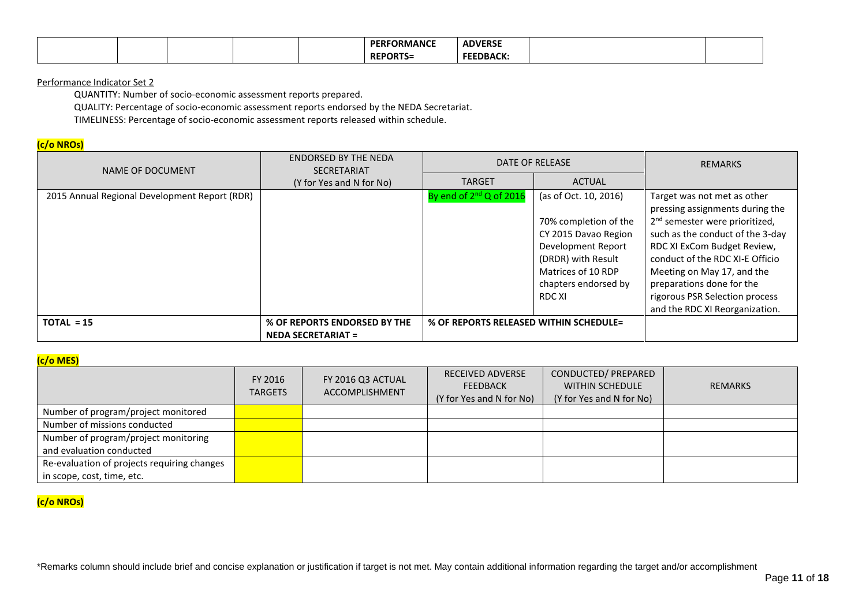|  |  | . ORMANCT<br>DI<br>. .<br> | <b>ADVERSE</b>  |  |
|--|--|----------------------------|-----------------|--|
|  |  | <b>REPO</b>                | <b>FFFDRACK</b> |  |

QUANTITY: Number of socio-economic assessment reports prepared.

QUALITY: Percentage of socio-economic assessment reports endorsed by the NEDA Secretariat.

TIMELINESS: Percentage of socio-economic assessment reports released within schedule.

# **(c/o NROs)**

| NAME OF DOCUMENT                              | <b>ENDORSED BY THE NEDA</b><br><b>SECRETARIAT</b> |                                        | DATE OF RELEASE                                                                                                                                                            | <b>REMARKS</b>                                                                                                                                                                                                                                                                                                  |
|-----------------------------------------------|---------------------------------------------------|----------------------------------------|----------------------------------------------------------------------------------------------------------------------------------------------------------------------------|-----------------------------------------------------------------------------------------------------------------------------------------------------------------------------------------------------------------------------------------------------------------------------------------------------------------|
|                                               | (Y for Yes and N for No)                          | <b>TARGET</b>                          | <b>ACTUAL</b>                                                                                                                                                              |                                                                                                                                                                                                                                                                                                                 |
| 2015 Annual Regional Development Report (RDR) |                                                   | By end of $2^{nd}$ Q of 2016           | (as of Oct. 10, 2016)<br>70% completion of the<br>CY 2015 Davao Region<br>Development Report<br>(DRDR) with Result<br>Matrices of 10 RDP<br>chapters endorsed by<br>RDC XI | Target was not met as other<br>pressing assignments during the<br>2 <sup>nd</sup> semester were prioritized,<br>such as the conduct of the 3-day<br>RDC XI ExCom Budget Review,<br>conduct of the RDC XI-E Officio<br>Meeting on May 17, and the<br>preparations done for the<br>rigorous PSR Selection process |
|                                               |                                                   |                                        |                                                                                                                                                                            | and the RDC XI Reorganization.                                                                                                                                                                                                                                                                                  |
| $TOTAL = 15$                                  | % OF REPORTS ENDORSED BY THE                      | % OF REPORTS RELEASED WITHIN SCHEDULE= |                                                                                                                                                                            |                                                                                                                                                                                                                                                                                                                 |
|                                               | <b>NEDA SECRETARIAT =</b>                         |                                        |                                                                                                                                                                            |                                                                                                                                                                                                                                                                                                                 |

# **(c/o MES)**

|                                             | FY 2016<br><b>TARGETS</b> | FY 2016 Q3 ACTUAL<br><b>ACCOMPLISHMENT</b> | <b>RECEIVED ADVERSE</b><br><b>FEEDBACK</b><br>(Y for Yes and N for No) | CONDUCTED/ PREPARED<br><b>WITHIN SCHEDULE</b><br>(Y for Yes and N for No) | <b>REMARKS</b> |
|---------------------------------------------|---------------------------|--------------------------------------------|------------------------------------------------------------------------|---------------------------------------------------------------------------|----------------|
| Number of program/project monitored         |                           |                                            |                                                                        |                                                                           |                |
| Number of missions conducted                |                           |                                            |                                                                        |                                                                           |                |
| Number of program/project monitoring        |                           |                                            |                                                                        |                                                                           |                |
| and evaluation conducted                    |                           |                                            |                                                                        |                                                                           |                |
| Re-evaluation of projects requiring changes |                           |                                            |                                                                        |                                                                           |                |
| in scope, cost, time, etc.                  |                           |                                            |                                                                        |                                                                           |                |

# **(c/o NROs)**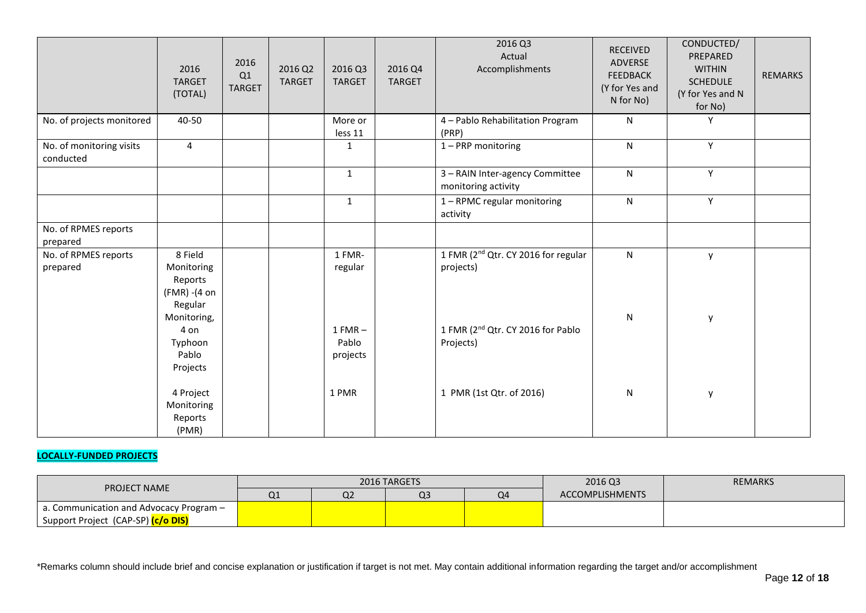|                                       | 2016<br><b>TARGET</b><br>(TOTAL)                             | 2016<br>Q1<br><b>TARGET</b> | 2016 Q2<br><b>TARGET</b> | 2016 Q3<br><b>TARGET</b>       | 2016 Q4<br><b>TARGET</b> | 2016 Q3<br>Actual<br>Accomplishments                         | RECEIVED<br>ADVERSE<br><b>FEEDBACK</b><br>(Y for Yes and<br>N for No) | CONDUCTED/<br>PREPARED<br><b>WITHIN</b><br><b>SCHEDULE</b><br>(Y for Yes and N<br>for No) | <b>REMARKS</b> |
|---------------------------------------|--------------------------------------------------------------|-----------------------------|--------------------------|--------------------------------|--------------------------|--------------------------------------------------------------|-----------------------------------------------------------------------|-------------------------------------------------------------------------------------------|----------------|
| No. of projects monitored             | 40-50                                                        |                             |                          | More or<br>less 11             |                          | 4 - Pablo Rehabilitation Program<br>(PRP)                    | ${\sf N}$                                                             | Υ                                                                                         |                |
| No. of monitoring visits<br>conducted | $\overline{4}$                                               |                             |                          | 1                              |                          | 1-PRP monitoring                                             | $\mathsf{N}$                                                          | Y                                                                                         |                |
|                                       |                                                              |                             |                          | $\mathbf{1}$                   |                          | 3 - RAIN Inter-agency Committee<br>monitoring activity       | $\mathsf{N}$                                                          | Y                                                                                         |                |
|                                       |                                                              |                             |                          | $\mathbf{1}$                   |                          | 1 - RPMC regular monitoring<br>activity                      | $\mathsf{N}$                                                          | Y                                                                                         |                |
| No. of RPMES reports<br>prepared      |                                                              |                             |                          |                                |                          |                                                              |                                                                       |                                                                                           |                |
| No. of RPMES reports<br>prepared      | 8 Field<br>Monitoring<br>Reports<br>(FMR) - (4 on<br>Regular |                             |                          | 1 FMR-<br>regular              |                          | 1 FMR (2 <sup>nd</sup> Qtr. CY 2016 for regular<br>projects) | N                                                                     | y                                                                                         |                |
|                                       | Monitoring,<br>4 on<br>Typhoon<br>Pablo<br>Projects          |                             |                          | $1 FMR -$<br>Pablo<br>projects |                          | 1 FMR (2 <sup>nd</sup> Qtr. CY 2016 for Pablo<br>Projects)   | ${\sf N}$                                                             | y                                                                                         |                |
|                                       | 4 Project<br>Monitoring<br>Reports<br>(PMR)                  |                             |                          | 1 PMR                          |                          | 1 PMR (1st Qtr. of 2016)                                     | ${\sf N}$                                                             | y                                                                                         |                |

# **LOCALLY-FUNDED PROJECTS**

| <b>PROJECT NAME</b>                               |    |                | 2016 TARGETS |    | 2016 Q3                | <b>REMARKS</b> |
|---------------------------------------------------|----|----------------|--------------|----|------------------------|----------------|
|                                                   | Q1 | Q <sub>2</sub> | Q3           | O4 | <b>ACCOMPLISHMENTS</b> |                |
| $\vert$ a. Communication and Advocacy Program $-$ |    |                |              |    |                        |                |
| Support Project (CAP-SP) <mark>(c/o DIS)</mark>   |    |                |              |    |                        |                |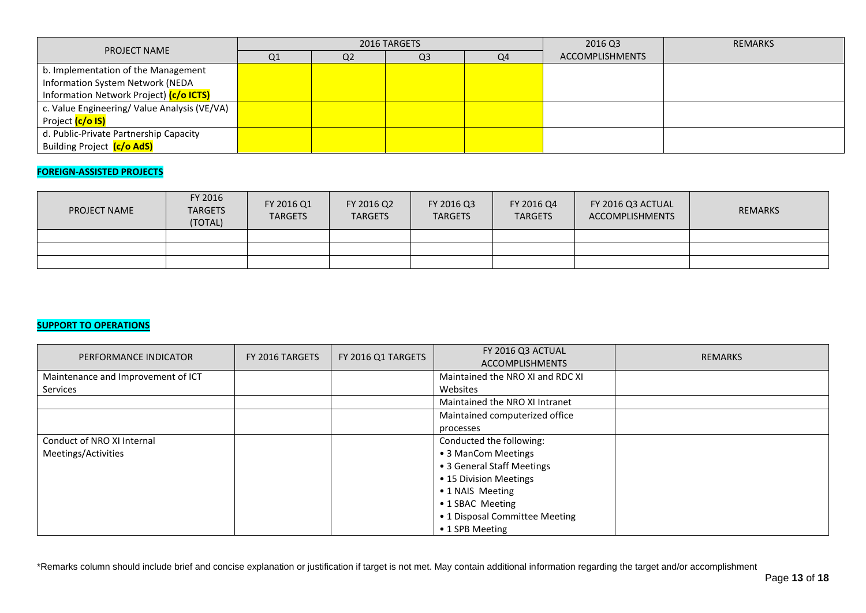| <b>PROJECT NAME</b>                          |                |                | 2016 TARGETS   |    | 2016 Q3                | <b>REMARKS</b> |
|----------------------------------------------|----------------|----------------|----------------|----|------------------------|----------------|
|                                              | Q <sub>1</sub> | Q <sub>2</sub> | Q <sub>3</sub> | Q4 | <b>ACCOMPLISHMENTS</b> |                |
| b. Implementation of the Management          |                |                |                |    |                        |                |
| Information System Network (NEDA             |                |                |                |    |                        |                |
| Information Network Project) (c/o ICTS)      |                |                |                |    |                        |                |
| c. Value Engineering/ Value Analysis (VE/VA) |                |                |                |    |                        |                |
| Project <mark>(c/o IS)</mark>                |                |                |                |    |                        |                |
| d. Public-Private Partnership Capacity       |                |                |                |    |                        |                |
| Building Project (c/o AdS)                   |                |                |                |    |                        |                |

# **FOREIGN-ASSISTED PROJECTS**

| <b>PROJECT NAME</b> | FY 2016<br><b>TARGETS</b><br>(TOTAL) | FY 2016 Q1<br><b>TARGETS</b> | FY 2016 Q2<br><b>TARGETS</b> | FY 2016 Q3<br><b>TARGETS</b> | FY 2016 Q4<br><b>TARGETS</b> | FY 2016 Q3 ACTUAL<br>ACCOMPLISHMENTS | <b>REMARKS</b> |
|---------------------|--------------------------------------|------------------------------|------------------------------|------------------------------|------------------------------|--------------------------------------|----------------|
|                     |                                      |                              |                              |                              |                              |                                      |                |
|                     |                                      |                              |                              |                              |                              |                                      |                |
|                     |                                      |                              |                              |                              |                              |                                      |                |

# **SUPPORT TO OPERATIONS**

| PERFORMANCE INDICATOR              | FY 2016 TARGETS | FY 2016 Q1 TARGETS | FY 2016 Q3 ACTUAL                | <b>REMARKS</b> |
|------------------------------------|-----------------|--------------------|----------------------------------|----------------|
|                                    |                 |                    | <b>ACCOMPLISHMENTS</b>           |                |
| Maintenance and Improvement of ICT |                 |                    | Maintained the NRO XI and RDC XI |                |
| Services                           |                 |                    | Websites                         |                |
|                                    |                 |                    | Maintained the NRO XI Intranet   |                |
|                                    |                 |                    | Maintained computerized office   |                |
|                                    |                 |                    | processes                        |                |
| Conduct of NRO XI Internal         |                 |                    | Conducted the following:         |                |
| Meetings/Activities                |                 |                    | • 3 ManCom Meetings              |                |
|                                    |                 |                    | • 3 General Staff Meetings       |                |
|                                    |                 |                    | • 15 Division Meetings           |                |
|                                    |                 |                    | • 1 NAIS Meeting                 |                |
|                                    |                 |                    | • 1 SBAC Meeting                 |                |
|                                    |                 |                    | • 1 Disposal Committee Meeting   |                |
|                                    |                 |                    | • 1 SPB Meeting                  |                |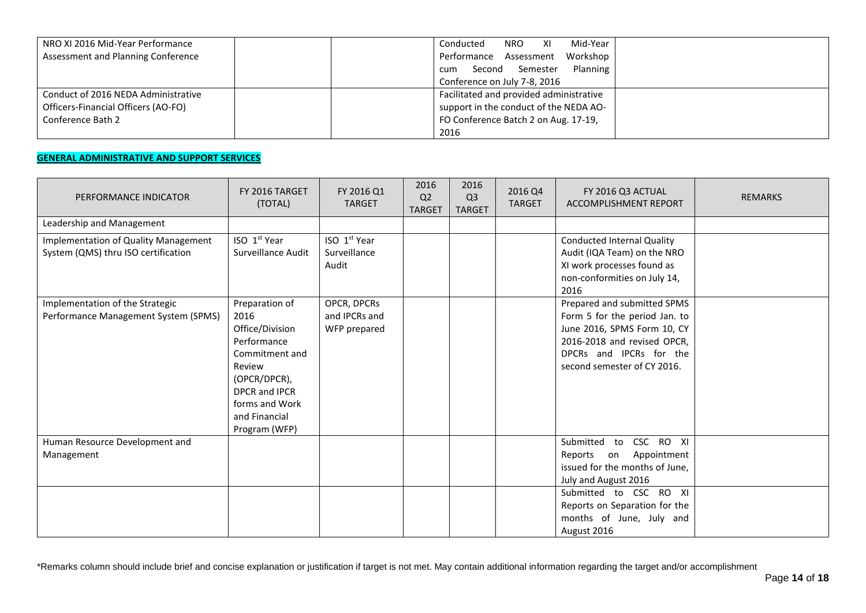| NRO XI 2016 Mid-Year Performance    | Mid-Year<br>Conducted<br>NRO <b>NRO</b><br>XI |
|-------------------------------------|-----------------------------------------------|
| Assessment and Planning Conference  | Performance Assessment<br>Workshop            |
|                                     | Planning<br>Second Semester<br>cum            |
|                                     | Conference on July 7-8, 2016                  |
| Conduct of 2016 NEDA Administrative | Facilitated and provided administrative       |
| Officers-Financial Officers (AO-FO) | support in the conduct of the NEDA AO-        |
| Conference Bath 2                   | FO Conference Batch 2 on Aug. 17-19,          |
|                                     | 2016                                          |

# **GENERAL ADMINISTRATIVE AND SUPPORT SERVICES**

| PERFORMANCE INDICATOR                                                       | FY 2016 TARGET<br>(TOTAL)                                                                                                                                                 | FY 2016 Q1<br><b>TARGET</b>                       | 2016<br>Q <sub>2</sub><br><b>TARGET</b> | 2016<br>Q <sub>3</sub><br><b>TARGET</b> | 2016 Q4<br><b>TARGET</b> | FY 2016 Q3 ACTUAL<br><b>ACCOMPLISHMENT REPORT</b>                                                                                                                                    | <b>REMARKS</b> |
|-----------------------------------------------------------------------------|---------------------------------------------------------------------------------------------------------------------------------------------------------------------------|---------------------------------------------------|-----------------------------------------|-----------------------------------------|--------------------------|--------------------------------------------------------------------------------------------------------------------------------------------------------------------------------------|----------------|
| Leadership and Management                                                   |                                                                                                                                                                           |                                                   |                                         |                                         |                          |                                                                                                                                                                                      |                |
| Implementation of Quality Management<br>System (QMS) thru ISO certification | ISO 1 <sup>st</sup> Year<br>Surveillance Audit                                                                                                                            | ISO 1 <sup>st</sup> Year<br>Surveillance<br>Audit |                                         |                                         |                          | <b>Conducted Internal Quality</b><br>Audit (IQA Team) on the NRO<br>XI work processes found as<br>non-conformities on July 14,<br>2016                                               |                |
| Implementation of the Strategic<br>Performance Management System (SPMS)     | Preparation of<br>2016<br>Office/Division<br>Performance<br>Commitment and<br>Review<br>(OPCR/DPCR),<br>DPCR and IPCR<br>forms and Work<br>and Financial<br>Program (WFP) | OPCR, DPCRs<br>and IPCRs and<br>WFP prepared      |                                         |                                         |                          | Prepared and submitted SPMS<br>Form 5 for the period Jan. to<br>June 2016, SPMS Form 10, CY<br>2016-2018 and revised OPCR,<br>DPCRs and IPCRs for the<br>second semester of CY 2016. |                |
| Human Resource Development and<br>Management                                |                                                                                                                                                                           |                                                   |                                         |                                         |                          | CSC RO XI<br>Submitted<br>to<br>Appointment<br>Reports<br>on<br>issued for the months of June,<br>July and August 2016                                                               |                |
|                                                                             |                                                                                                                                                                           |                                                   |                                         |                                         |                          | Submitted to CSC RO XI<br>Reports on Separation for the<br>months of June, July and<br>August 2016                                                                                   |                |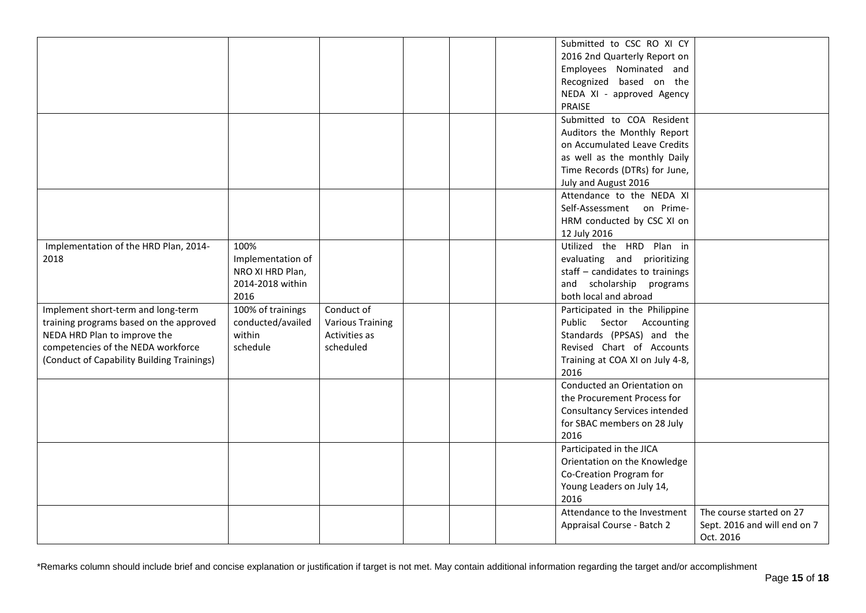|                                            |                   |                         |  | Submitted to CSC RO XI CY       |                              |
|--------------------------------------------|-------------------|-------------------------|--|---------------------------------|------------------------------|
|                                            |                   |                         |  | 2016 2nd Quarterly Report on    |                              |
|                                            |                   |                         |  | Employees Nominated and         |                              |
|                                            |                   |                         |  | Recognized based on the         |                              |
|                                            |                   |                         |  | NEDA XI - approved Agency       |                              |
|                                            |                   |                         |  | PRAISE                          |                              |
|                                            |                   |                         |  | Submitted to COA Resident       |                              |
|                                            |                   |                         |  | Auditors the Monthly Report     |                              |
|                                            |                   |                         |  | on Accumulated Leave Credits    |                              |
|                                            |                   |                         |  | as well as the monthly Daily    |                              |
|                                            |                   |                         |  | Time Records (DTRs) for June,   |                              |
|                                            |                   |                         |  | July and August 2016            |                              |
|                                            |                   |                         |  | Attendance to the NEDA XI       |                              |
|                                            |                   |                         |  | Self-Assessment on Prime-       |                              |
|                                            |                   |                         |  | HRM conducted by CSC XI on      |                              |
|                                            |                   |                         |  | 12 July 2016                    |                              |
| Implementation of the HRD Plan, 2014-      | 100%              |                         |  | Utilized the HRD Plan in        |                              |
| 2018                                       | Implementation of |                         |  | evaluating and prioritizing     |                              |
|                                            | NRO XI HRD Plan,  |                         |  | staff - candidates to trainings |                              |
|                                            | 2014-2018 within  |                         |  | and scholarship programs        |                              |
|                                            | 2016              |                         |  | both local and abroad           |                              |
|                                            |                   |                         |  |                                 |                              |
| Implement short-term and long-term         | 100% of trainings | Conduct of              |  | Participated in the Philippine  |                              |
| training programs based on the approved    | conducted/availed | <b>Various Training</b> |  | Public Sector Accounting        |                              |
| NEDA HRD Plan to improve the               | within            | Activities as           |  | Standards (PPSAS) and the       |                              |
| competencies of the NEDA workforce         | schedule          | scheduled               |  | Revised Chart of Accounts       |                              |
| (Conduct of Capability Building Trainings) |                   |                         |  | Training at COA XI on July 4-8, |                              |
|                                            |                   |                         |  | 2016                            |                              |
|                                            |                   |                         |  | Conducted an Orientation on     |                              |
|                                            |                   |                         |  | the Procurement Process for     |                              |
|                                            |                   |                         |  | Consultancy Services intended   |                              |
|                                            |                   |                         |  | for SBAC members on 28 July     |                              |
|                                            |                   |                         |  | 2016                            |                              |
|                                            |                   |                         |  | Participated in the JICA        |                              |
|                                            |                   |                         |  | Orientation on the Knowledge    |                              |
|                                            |                   |                         |  | Co-Creation Program for         |                              |
|                                            |                   |                         |  | Young Leaders on July 14,       |                              |
|                                            |                   |                         |  | 2016                            |                              |
|                                            |                   |                         |  | Attendance to the Investment    | The course started on 27     |
|                                            |                   |                         |  | Appraisal Course - Batch 2      | Sept. 2016 and will end on 7 |
|                                            |                   |                         |  |                                 | Oct. 2016                    |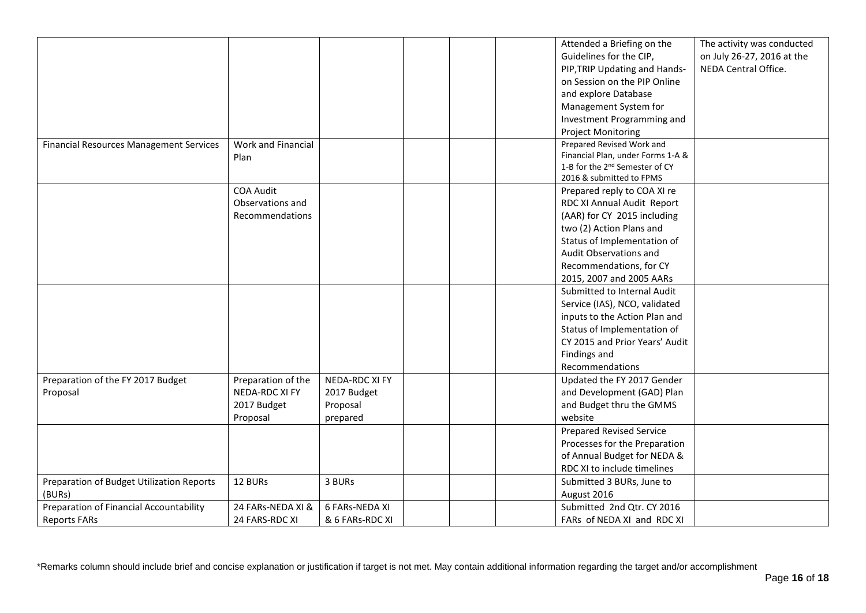|                                                |                    |                 |  | Attended a Briefing on the                                    | The activity was conducted                         |
|------------------------------------------------|--------------------|-----------------|--|---------------------------------------------------------------|----------------------------------------------------|
|                                                |                    |                 |  | Guidelines for the CIP,                                       |                                                    |
|                                                |                    |                 |  |                                                               | on July 26-27, 2016 at the<br>NEDA Central Office. |
|                                                |                    |                 |  | PIP, TRIP Updating and Hands-<br>on Session on the PIP Online |                                                    |
|                                                |                    |                 |  |                                                               |                                                    |
|                                                |                    |                 |  | and explore Database                                          |                                                    |
|                                                |                    |                 |  | Management System for                                         |                                                    |
|                                                |                    |                 |  | Investment Programming and                                    |                                                    |
|                                                |                    |                 |  | <b>Project Monitoring</b>                                     |                                                    |
| <b>Financial Resources Management Services</b> | Work and Financial |                 |  | Prepared Revised Work and                                     |                                                    |
|                                                | Plan               |                 |  | Financial Plan, under Forms 1-A &                             |                                                    |
|                                                |                    |                 |  | 1-B for the 2 <sup>nd</sup> Semester of CY                    |                                                    |
|                                                |                    |                 |  | 2016 & submitted to FPMS                                      |                                                    |
|                                                | <b>COA Audit</b>   |                 |  | Prepared reply to COA XI re                                   |                                                    |
|                                                | Observations and   |                 |  | RDC XI Annual Audit Report                                    |                                                    |
|                                                | Recommendations    |                 |  | (AAR) for CY 2015 including                                   |                                                    |
|                                                |                    |                 |  | two (2) Action Plans and                                      |                                                    |
|                                                |                    |                 |  | Status of Implementation of                                   |                                                    |
|                                                |                    |                 |  | Audit Observations and                                        |                                                    |
|                                                |                    |                 |  | Recommendations, for CY                                       |                                                    |
|                                                |                    |                 |  | 2015, 2007 and 2005 AARs                                      |                                                    |
|                                                |                    |                 |  | Submitted to Internal Audit                                   |                                                    |
|                                                |                    |                 |  | Service (IAS), NCO, validated                                 |                                                    |
|                                                |                    |                 |  | inputs to the Action Plan and                                 |                                                    |
|                                                |                    |                 |  | Status of Implementation of                                   |                                                    |
|                                                |                    |                 |  | CY 2015 and Prior Years' Audit                                |                                                    |
|                                                |                    |                 |  | Findings and                                                  |                                                    |
|                                                |                    |                 |  | Recommendations                                               |                                                    |
| Preparation of the FY 2017 Budget              | Preparation of the | NEDA-RDC XI FY  |  | Updated the FY 2017 Gender                                    |                                                    |
| Proposal                                       | NEDA-RDC XI FY     | 2017 Budget     |  | and Development (GAD) Plan                                    |                                                    |
|                                                | 2017 Budget        | Proposal        |  | and Budget thru the GMMS                                      |                                                    |
|                                                | Proposal           | prepared        |  | website                                                       |                                                    |
|                                                |                    |                 |  | <b>Prepared Revised Service</b>                               |                                                    |
|                                                |                    |                 |  | Processes for the Preparation                                 |                                                    |
|                                                |                    |                 |  | of Annual Budget for NEDA &                                   |                                                    |
|                                                |                    |                 |  | RDC XI to include timelines                                   |                                                    |
| Preparation of Budget Utilization Reports      | 12 BURs            | 3 BURs          |  | Submitted 3 BURs, June to                                     |                                                    |
|                                                |                    |                 |  |                                                               |                                                    |
| (BURs)                                         |                    |                 |  | August 2016                                                   |                                                    |
| Preparation of Financial Accountability        | 24 FARs-NEDA XI &  | 6 FARs-NEDA XI  |  | Submitted 2nd Qtr. CY 2016                                    |                                                    |
| <b>Reports FARs</b>                            | 24 FARS-RDC XI     | & 6 FARs-RDC XI |  | FARs of NEDA XI and RDC XI                                    |                                                    |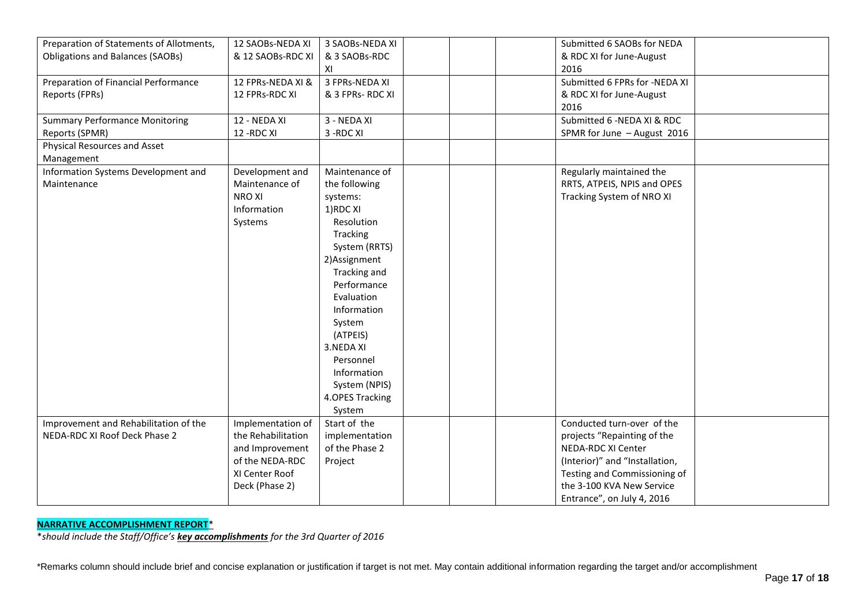| Preparation of Statements of Allotments, | 12 SAOBs-NEDA XI   | 3 SAOBs-NEDA XI  | Submitted 6 SAOBs for NEDA     |  |
|------------------------------------------|--------------------|------------------|--------------------------------|--|
| <b>Obligations and Balances (SAOBs)</b>  | & 12 SAOBs-RDC XI  | & 3 SAOBs-RDC    | & RDC XI for June-August       |  |
|                                          |                    | XI               | 2016                           |  |
| Preparation of Financial Performance     | 12 FPRs-NEDA XI &  | 3 FPRs-NEDA XI   | Submitted 6 FPRs for -NEDA XI  |  |
| Reports (FPRs)                           | 12 FPRs-RDC XI     | & 3 FPRs- RDC XI | & RDC XI for June-August       |  |
|                                          |                    |                  | 2016                           |  |
| <b>Summary Performance Monitoring</b>    | 12 - NEDA XI       | 3 - NEDA XI      | Submitted 6 - NEDA XI & RDC    |  |
| Reports (SPMR)                           | 12 - RDC XI        | 3-RDC XI         | SPMR for June - August 2016    |  |
| Physical Resources and Asset             |                    |                  |                                |  |
| Management                               |                    |                  |                                |  |
| Information Systems Development and      | Development and    | Maintenance of   | Regularly maintained the       |  |
| Maintenance                              | Maintenance of     | the following    | RRTS, ATPEIS, NPIS and OPES    |  |
|                                          | <b>NROXI</b>       | systems:         | Tracking System of NRO XI      |  |
|                                          | Information        | 1)RDC XI         |                                |  |
|                                          | Systems            | Resolution       |                                |  |
|                                          |                    | Tracking         |                                |  |
|                                          |                    | System (RRTS)    |                                |  |
|                                          |                    | 2) Assignment    |                                |  |
|                                          |                    | Tracking and     |                                |  |
|                                          |                    | Performance      |                                |  |
|                                          |                    | Evaluation       |                                |  |
|                                          |                    | Information      |                                |  |
|                                          |                    | System           |                                |  |
|                                          |                    | (ATPEIS)         |                                |  |
|                                          |                    | 3.NEDA XI        |                                |  |
|                                          |                    | Personnel        |                                |  |
|                                          |                    | Information      |                                |  |
|                                          |                    | System (NPIS)    |                                |  |
|                                          |                    | 4.OPES Tracking  |                                |  |
|                                          |                    | System           |                                |  |
| Improvement and Rehabilitation of the    | Implementation of  | Start of the     | Conducted turn-over of the     |  |
| NEDA-RDC XI Roof Deck Phase 2            | the Rehabilitation | implementation   | projects "Repainting of the    |  |
|                                          | and Improvement    | of the Phase 2   | NEDA-RDC XI Center             |  |
|                                          | of the NEDA-RDC    | Project          | (Interior)" and "Installation, |  |
|                                          | XI Center Roof     |                  | Testing and Commissioning of   |  |
|                                          | Deck (Phase 2)     |                  | the 3-100 KVA New Service      |  |
|                                          |                    |                  | Entrance", on July 4, 2016     |  |
|                                          |                    |                  |                                |  |

# **NARRATIVE ACCOMPLISHMENT REPORT**\*

\**should include the Staff/Office's key accomplishments for the 3rd Quarter of 2016*